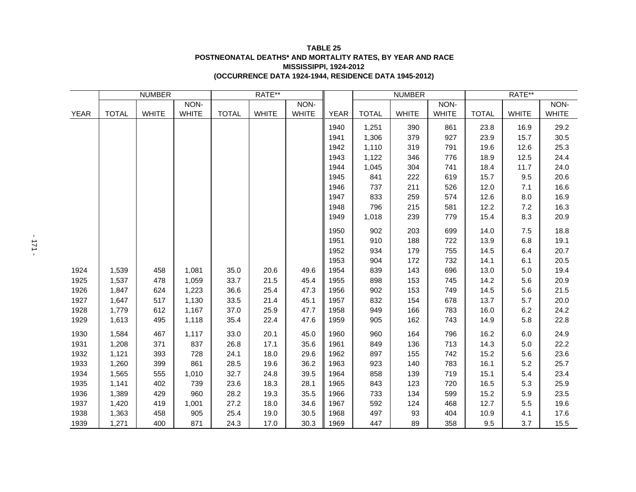## **TABLE 25 POSTNEONATAL DEATHS\* AND MORTALITY RATES, BY YEAR AND RACE MISSISSIPPI, 1924-2012 (OCCURRENCE DATA 1924-1944, RESIDENCE DATA 1945-2012)**

|             | <b>NUMBER</b> |              |              | RATE**       |              |              |             | <b>NUMBER</b> |              |              | RATE**       |              |              |
|-------------|---------------|--------------|--------------|--------------|--------------|--------------|-------------|---------------|--------------|--------------|--------------|--------------|--------------|
|             |               |              | NON-         |              |              | NON-         |             |               |              | NON-         |              |              | NON-         |
| <b>YEAR</b> | <b>TOTAL</b>  | <b>WHITE</b> | <b>WHITE</b> | <b>TOTAL</b> | <b>WHITE</b> | <b>WHITE</b> | <b>YEAR</b> | <b>TOTAL</b>  | <b>WHITE</b> | <b>WHITE</b> | <b>TOTAL</b> | <b>WHITE</b> | <b>WHITE</b> |
|             |               |              |              |              |              |              | 1940        | 1,251         | 390          | 861          | 23.8         | 16.9         | 29.2         |
|             |               |              |              |              |              |              | 1941        | 1,306         | 379          | 927          | 23.9         | 15.7         | 30.5         |
|             |               |              |              |              |              |              | 1942        | 1,110         | 319          | 791          | 19.6         | 12.6         | 25.3         |
|             |               |              |              |              |              |              | 1943        | 1,122         | 346          | 776          | 18.9         | 12.5         | 24.4         |
|             |               |              |              |              |              |              | 1944        | 1,045         | 304          | 741          | 18.4         | 11.7         | 24.0         |
|             |               |              |              |              |              |              | 1945        | 841           | 222          | 619          | 15.7         | 9.5          | 20.6         |
|             |               |              |              |              |              |              | 1946        | 737           | 211          | 526          | 12.0         | 7.1          | 16.6         |
|             |               |              |              |              |              |              | 1947        | 833           | 259          | 574          | 12.6         | 8.0          | 16.9         |
|             |               |              |              |              |              |              | 1948        | 796           | 215          | 581          | 12.2         | 7.2          | 16.3         |
|             |               |              |              |              |              |              | 1949        | 1,018         | 239          | 779          | 15.4         | 8.3          | 20.9         |
|             |               |              |              |              |              |              | 1950        | 902           | 203          | 699          | 14.0         | 7.5          | 18.8         |
|             |               |              |              |              |              |              | 1951        | 910           | 188          | 722          | 13.9         | 6.8          | 19.1         |
|             |               |              |              |              |              |              | 1952        | 934           | 179          | 755          | 14.5         | 6.4          | 20.7         |
|             |               |              |              |              |              |              | 1953        | 904           | 172          | 732          | 14.1         | 6.1          | 20.5         |
| 1924        | 1,539         | 458          | 1,081        | 35.0         | 20.6         | 49.6         | 1954        | 839           | 143          | 696          | 13.0         | 5.0          | 19.4         |
| 1925        | 1,537         | 478          | 1,059        | 33.7         | 21.5         | 45.4         | 1955        | 898           | 153          | 745          | 14.2         | 5.6          | 20.9         |
| 1926        | 1,847         | 624          | 1,223        | 36.6         | 25.4         | 47.3         | 1956        | 902           | 153          | 749          | 14.5         | 5.6          | 21.5         |
| 1927        | 1,647         | 517          | 1,130        | 33.5         | 21.4         | 45.1         | 1957        | 832           | 154          | 678          | 13.7         | 5.7          | 20.0         |
| 1928        | 1,779         | 612          | 1,167        | 37.0         | 25.9         | 47.7         | 1958        | 949           | 166          | 783          | 16.0         | 6.2          | 24.2         |
| 1929        | 1,613         | 495          | 1,118        | 35.4         | 22.4         | 47.6         | 1959        | 905           | 162          | 743          | 14.9         | 5.8          | 22.8         |
| 1930        | 1,584         | 467          | 1,117        | 33.0         | 20.1         | 45.0         | 1960        | 960           | 164          | 796          | 16.2         | 6.0          | 24.9         |
| 1931        | 1,208         | 371          | 837          | 26.8         | 17.1         | 35.6         | 1961        | 849           | 136          | 713          | 14.3         | $5.0\,$      | 22.2         |
| 1932        | 1,121         | 393          | 728          | 24.1         | 18.0         | 29.6         | 1962        | 897           | 155          | 742          | 15.2         | 5.6          | 23.6         |
| 1933        | 1,260         | 399          | 861          | 28.5         | 19.6         | 36.2         | 1963        | 923           | 140          | 783          | 16.1         | 5.2          | 25.7         |
| 1934        | 1,565         | 555          | 1,010        | 32.7         | 24.8         | 39.5         | 1964        | 858           | 139          | 719          | 15.1         | 5.4          | 23.4         |
| 1935        | 1,141         | 402          | 739          | 23.6         | 18.3         | 28.1         | 1965        | 843           | 123          | 720          | 16.5         | 5.3          | 25.9         |
| 1936        | 1,389         | 429          | 960          | 28.2         | 19.3         | 35.5         | 1966        | 733           | 134          | 599          | 15.2         | 5.9          | 23.5         |
| 1937        | 1,420         | 419          | 1,001        | 27.2         | 18.0         | 34.6         | 1967        | 592           | 124          | 468          | 12.7         | 5.5          | 19.6         |
| 1938        | 1,363         | 458          | 905          | 25.4         | 19.0         | 30.5         | 1968        | 497           | 93           | 404          | 10.9         | 4.1          | 17.6         |
| 1939        | 1,271         | 400          | 871          | 24.3         | 17.0         | 30.3         | 1969        | 447           | 89           | 358          | 9.5          | 3.7          | 15.5         |